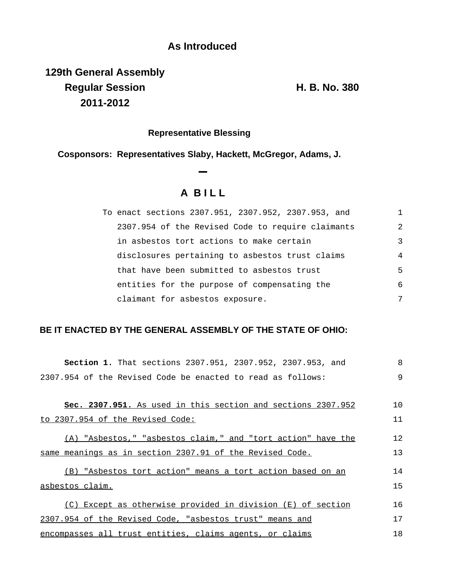## **As Introduced**

**129th General Assembly Regular Session H. B. No. 380 2011-2012**

## **Representative Blessing**

**Cosponsors: Representatives Slaby, Hackett, McGregor, Adams, J.**

**A B I L L**

| To enact sections 2307.951, 2307.952, 2307.953, and |                |
|-----------------------------------------------------|----------------|
| 2307.954 of the Revised Code to require claimants   | $\mathfrak{D}$ |
| in asbestos tort actions to make certain            | 3              |
| disclosures pertaining to asbestos trust claims     | 4              |
| that have been submitted to asbestos trust          | 5              |
| entities for the purpose of compensating the        | 6              |
| claimant for asbestos exposure.                     | 7              |

## **BE IT ENACTED BY THE GENERAL ASSEMBLY OF THE STATE OF OHIO:**

| Section 1. That sections 2307.951, 2307.952, 2307.953, and   | 8  |
|--------------------------------------------------------------|----|
| 2307.954 of the Revised Code be enacted to read as follows:  | 9  |
|                                                              |    |
| Sec. 2307.951. As used in this section and sections 2307.952 | 10 |
| to 2307.954 of the Revised Code:                             | 11 |
| (A) "Asbestos," "asbestos claim," and "tort action" have the | 12 |
| same meanings as in section 2307.91 of the Revised Code.     | 13 |
| (B) "Asbestos tort action" means a tort action based on an   | 14 |
| asbestos claim.                                              | 15 |
| (C) Except as otherwise provided in division (E) of section  | 16 |
| 2307.954 of the Revised Code, "asbestos trust" means and     | 17 |
| encompasses all trust entities, claims agents, or claims     | 18 |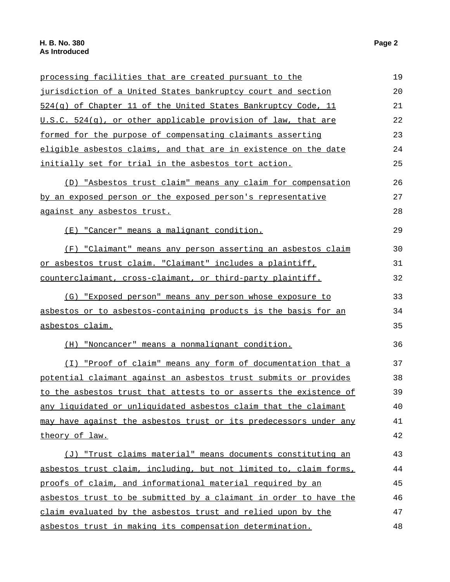| processing facilities that are created pursuant to the                 | 19 |
|------------------------------------------------------------------------|----|
| jurisdiction of a United States bankruptcy court and section           | 20 |
| 524(q) of Chapter 11 of the United States Bankruptcy Code, 11          | 21 |
| U.S.C. 524(q), or other applicable provision of law, that are          | 22 |
| formed for the purpose of compensating claimants asserting             | 23 |
| eligible asbestos claims, and that are in existence on the date        | 24 |
| initially set for trial in the asbestos tort action.                   | 25 |
| (D) "Asbestos trust claim" means any claim for compensation            | 26 |
| <u>by an exposed person or the exposed person's representative</u>     | 27 |
| <u>against any asbestos trust.</u>                                     | 28 |
| (E) "Cancer" means a malignant condition.                              | 29 |
| (F) "Claimant" means any person asserting an asbestos claim            | 30 |
| <u>or asbestos trust claim. "Claimant" includes a plaintiff, </u>      | 31 |
| counterclaimant, cross-claimant, or third-party plaintiff.             | 32 |
| (G) "Exposed person" means any person whose exposure to                | 33 |
| <u>asbestos or to asbestos-containing products is the basis for an</u> | 34 |
| <u>asbestos claim.</u>                                                 | 35 |
| (H) "Noncancer" means a nonmalignant condition.                        | 36 |
| (I) "Proof of claim" means any form of documentation that a            | 37 |
| potential claimant against an asbestos trust submits or provides       | 38 |
| to the asbestos trust that attests to or asserts the existence of      | 39 |
| <u>any liquidated or unliquidated asbestos claim that the claimant</u> | 40 |
| may have against the asbestos trust or its predecessors under any      | 41 |
| <u>theory of law.</u>                                                  | 42 |
| (J) "Trust claims material" means documents constituting an            | 43 |
| asbestos trust claim, including, but not limited to, claim forms,      | 44 |
| proofs of claim, and informational material required by an             | 45 |
| asbestos trust to be submitted by a claimant in order to have the      | 46 |
| claim evaluated by the asbestos trust and relied upon by the           | 47 |
| asbestos trust in making its compensation determination.               | 48 |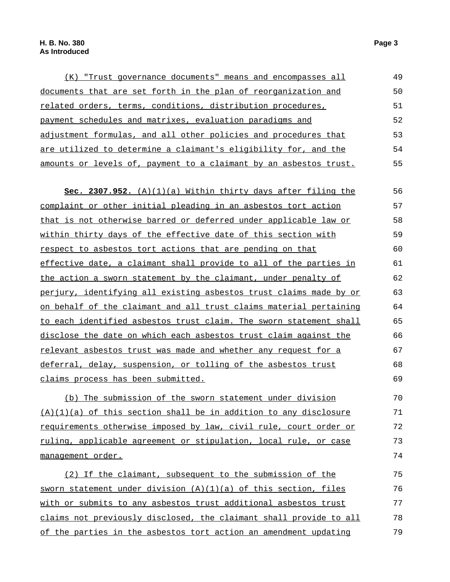| <u>(K)</u> "Trust governance documents" means and encompasses all | 49 |
|-------------------------------------------------------------------|----|
| documents that are set forth in the plan of reorganization and    | 50 |
| related orders, terms, conditions, distribution procedures,       | 51 |
| payment schedules and matrixes, evaluation paradigms and          | 52 |
| adjustment formulas, and all other policies and procedures that   | 53 |
| are utilized to determine a claimant's eligibility for, and the   | 54 |
| amounts or levels of, payment to a claimant by an asbestos trust. | 55 |

**Sec. 2307.952.** (A)(1)(a) Within thirty days after filing the complaint or other initial pleading in an asbestos tort action that is not otherwise barred or deferred under applicable law or within thirty days of the effective date of this section with respect to asbestos tort actions that are pending on that effective date, a claimant shall provide to all of the parties in the action a sworn statement by the claimant, under penalty of perjury, identifying all existing asbestos trust claims made by or on behalf of the claimant and all trust claims material pertaining to each identified asbestos trust claim. The sworn statement shall disclose the date on which each asbestos trust claim against the relevant asbestos trust was made and whether any request for a deferral, delay, suspension, or tolling of the asbestos trust claims process has been submitted. 56 57 58 59 60 61 62 63 64 65 66 67 68 69

(b) The submission of the sworn statement under division  $(A)(1)(a)$  of this section shall be in addition to any disclosure requirements otherwise imposed by law, civil rule, court order or ruling, applicable agreement or stipulation, local rule, or case management order. 70 71 72 73 74

(2) If the claimant, subsequent to the submission of the sworn statement under division (A)(1)(a) of this section, files with or submits to any asbestos trust additional asbestos trust claims not previously disclosed, the claimant shall provide to all of the parties in the asbestos tort action an amendment updating 75 76 77 78 79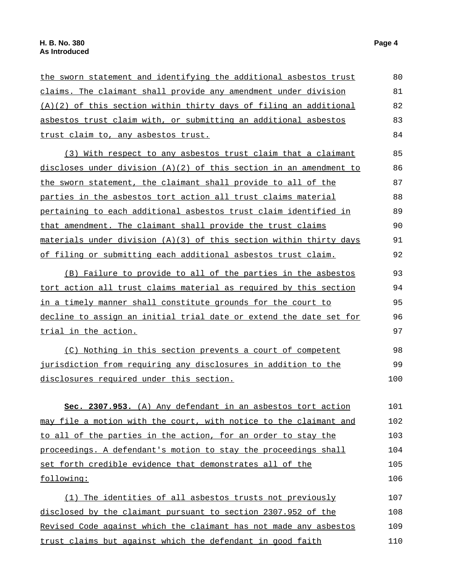| the sworn statement and identifying the additional asbestos trust    | 80  |
|----------------------------------------------------------------------|-----|
| claims. The claimant shall provide any amendment under division      | 81  |
| (A)(2) of this section within thirty days of filing an additional    | 82  |
| asbestos trust claim with, or submitting an additional asbestos      | 83  |
| trust claim to, any asbestos trust.                                  | 84  |
| (3) With respect to any asbestos trust claim that a claimant         | 85  |
| discloses under division $(A)(2)$ of this section in an amendment to | 86  |
| the sworn statement, the claimant shall provide to all of the        | 87  |
| parties in the asbestos tort action all trust claims material        | 88  |
| pertaining to each additional asbestos trust claim identified in     | 89  |
| that amendment. The claimant shall provide the trust claims          | 90  |
| materials under division (A)(3) of this section within thirty days   | 91  |
| of filing or submitting each additional asbestos trust claim.        | 92  |
| (B) Failure to provide to all of the parties in the asbestos         | 93  |
| tort action all trust claims material as required by this section    | 94  |
| in a timely manner shall constitute grounds for the court to         | 95  |
| decline to assign an initial trial date or extend the date set for   | 96  |
| trial in the action.                                                 | 97  |
| (C) Nothing in this section prevents a court of competent            | 98  |
| jurisdiction from requiring any disclosures in addition to the       | 99  |
| disclosures required under this section.                             | 100 |
| Sec. 2307.953. (A) Any defendant in an asbestos tort action          | 101 |
| may file a motion with the court, with notice to the claimant and    | 102 |
| to all of the parties in the action, for an order to stay the        | 103 |
|                                                                      |     |
| proceedings. A defendant's motion to stay the proceedings shall      | 104 |
| set forth credible evidence that demonstrates all of the             | 105 |
| following:                                                           | 106 |
| (1) The identities of all asbestos trusts not previously             | 107 |
| disclosed by the claimant pursuant to section 2307.952 of the        | 108 |
| Revised Code against which the claimant has not made any asbestos    | 109 |
| trust claims but against which the defendant in good faith           | 110 |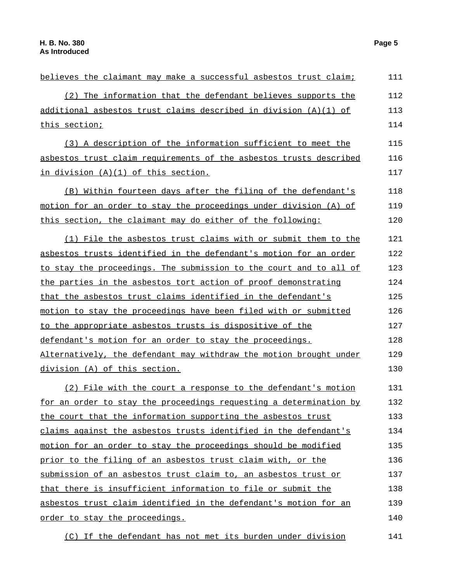| believes the claimant may make a successful asbestos trust claim;<br>(2) The information that the defendant believes supports the<br>additional asbestos trust claims described in division (A)(1) of<br>this section;<br>(3) A description of the information sufficient to meet the<br>asbestos trust claim requirements of the asbestos trusts described<br>in division (A)(1) of this section.<br>(B) Within fourteen days after the filing of the defendant's<br>motion for an order to stay the proceedings under division (A) of<br>this section, the claimant may do either of the following:<br>(1) File the asbestos trust claims with or submit them to the<br>asbestos trusts identified in the defendant's motion for an order<br>to stay the proceedings. The submission to the court and to all of<br>the parties in the asbestos tort action of proof demonstrating<br>that the asbestos trust claims identified in the defendant's<br>motion to stay the proceedings have been filed with or submitted<br>to the appropriate asbestos trusts is dispositive of the<br>defendant's motion for an order to stay the proceedings.<br>Alternatively, the defendant may withdraw the motion brought under<br>division (A) of this section.<br>(2) File with the court a response to the defendant's motion<br>for an order to stay the proceedings requesting a determination by<br>the court that the information supporting the asbestos trust<br>claims against the asbestos trusts identified in the defendant's<br>motion for an order to stay the proceedings should be modified<br>prior to the filing of an asbestos trust claim with, or the<br>submission of an asbestos trust claim to, an asbestos trust or<br>that there is insufficient information to file or submit the<br>asbestos trust claim identified in the defendant's motion for an<br>order to stay the proceedings. |     |
|-----------------------------------------------------------------------------------------------------------------------------------------------------------------------------------------------------------------------------------------------------------------------------------------------------------------------------------------------------------------------------------------------------------------------------------------------------------------------------------------------------------------------------------------------------------------------------------------------------------------------------------------------------------------------------------------------------------------------------------------------------------------------------------------------------------------------------------------------------------------------------------------------------------------------------------------------------------------------------------------------------------------------------------------------------------------------------------------------------------------------------------------------------------------------------------------------------------------------------------------------------------------------------------------------------------------------------------------------------------------------------------------------------------------------------------------------------------------------------------------------------------------------------------------------------------------------------------------------------------------------------------------------------------------------------------------------------------------------------------------------------------------------------------------------------------------------------------------------------------------------------------------------------------|-----|
|                                                                                                                                                                                                                                                                                                                                                                                                                                                                                                                                                                                                                                                                                                                                                                                                                                                                                                                                                                                                                                                                                                                                                                                                                                                                                                                                                                                                                                                                                                                                                                                                                                                                                                                                                                                                                                                                                                           | 111 |
|                                                                                                                                                                                                                                                                                                                                                                                                                                                                                                                                                                                                                                                                                                                                                                                                                                                                                                                                                                                                                                                                                                                                                                                                                                                                                                                                                                                                                                                                                                                                                                                                                                                                                                                                                                                                                                                                                                           | 112 |
|                                                                                                                                                                                                                                                                                                                                                                                                                                                                                                                                                                                                                                                                                                                                                                                                                                                                                                                                                                                                                                                                                                                                                                                                                                                                                                                                                                                                                                                                                                                                                                                                                                                                                                                                                                                                                                                                                                           | 113 |
|                                                                                                                                                                                                                                                                                                                                                                                                                                                                                                                                                                                                                                                                                                                                                                                                                                                                                                                                                                                                                                                                                                                                                                                                                                                                                                                                                                                                                                                                                                                                                                                                                                                                                                                                                                                                                                                                                                           | 114 |
|                                                                                                                                                                                                                                                                                                                                                                                                                                                                                                                                                                                                                                                                                                                                                                                                                                                                                                                                                                                                                                                                                                                                                                                                                                                                                                                                                                                                                                                                                                                                                                                                                                                                                                                                                                                                                                                                                                           | 115 |
|                                                                                                                                                                                                                                                                                                                                                                                                                                                                                                                                                                                                                                                                                                                                                                                                                                                                                                                                                                                                                                                                                                                                                                                                                                                                                                                                                                                                                                                                                                                                                                                                                                                                                                                                                                                                                                                                                                           | 116 |
|                                                                                                                                                                                                                                                                                                                                                                                                                                                                                                                                                                                                                                                                                                                                                                                                                                                                                                                                                                                                                                                                                                                                                                                                                                                                                                                                                                                                                                                                                                                                                                                                                                                                                                                                                                                                                                                                                                           | 117 |
|                                                                                                                                                                                                                                                                                                                                                                                                                                                                                                                                                                                                                                                                                                                                                                                                                                                                                                                                                                                                                                                                                                                                                                                                                                                                                                                                                                                                                                                                                                                                                                                                                                                                                                                                                                                                                                                                                                           | 118 |
|                                                                                                                                                                                                                                                                                                                                                                                                                                                                                                                                                                                                                                                                                                                                                                                                                                                                                                                                                                                                                                                                                                                                                                                                                                                                                                                                                                                                                                                                                                                                                                                                                                                                                                                                                                                                                                                                                                           | 119 |
|                                                                                                                                                                                                                                                                                                                                                                                                                                                                                                                                                                                                                                                                                                                                                                                                                                                                                                                                                                                                                                                                                                                                                                                                                                                                                                                                                                                                                                                                                                                                                                                                                                                                                                                                                                                                                                                                                                           | 120 |
|                                                                                                                                                                                                                                                                                                                                                                                                                                                                                                                                                                                                                                                                                                                                                                                                                                                                                                                                                                                                                                                                                                                                                                                                                                                                                                                                                                                                                                                                                                                                                                                                                                                                                                                                                                                                                                                                                                           | 121 |
|                                                                                                                                                                                                                                                                                                                                                                                                                                                                                                                                                                                                                                                                                                                                                                                                                                                                                                                                                                                                                                                                                                                                                                                                                                                                                                                                                                                                                                                                                                                                                                                                                                                                                                                                                                                                                                                                                                           | 122 |
|                                                                                                                                                                                                                                                                                                                                                                                                                                                                                                                                                                                                                                                                                                                                                                                                                                                                                                                                                                                                                                                                                                                                                                                                                                                                                                                                                                                                                                                                                                                                                                                                                                                                                                                                                                                                                                                                                                           | 123 |
|                                                                                                                                                                                                                                                                                                                                                                                                                                                                                                                                                                                                                                                                                                                                                                                                                                                                                                                                                                                                                                                                                                                                                                                                                                                                                                                                                                                                                                                                                                                                                                                                                                                                                                                                                                                                                                                                                                           | 124 |
|                                                                                                                                                                                                                                                                                                                                                                                                                                                                                                                                                                                                                                                                                                                                                                                                                                                                                                                                                                                                                                                                                                                                                                                                                                                                                                                                                                                                                                                                                                                                                                                                                                                                                                                                                                                                                                                                                                           | 125 |
|                                                                                                                                                                                                                                                                                                                                                                                                                                                                                                                                                                                                                                                                                                                                                                                                                                                                                                                                                                                                                                                                                                                                                                                                                                                                                                                                                                                                                                                                                                                                                                                                                                                                                                                                                                                                                                                                                                           | 126 |
|                                                                                                                                                                                                                                                                                                                                                                                                                                                                                                                                                                                                                                                                                                                                                                                                                                                                                                                                                                                                                                                                                                                                                                                                                                                                                                                                                                                                                                                                                                                                                                                                                                                                                                                                                                                                                                                                                                           | 127 |
|                                                                                                                                                                                                                                                                                                                                                                                                                                                                                                                                                                                                                                                                                                                                                                                                                                                                                                                                                                                                                                                                                                                                                                                                                                                                                                                                                                                                                                                                                                                                                                                                                                                                                                                                                                                                                                                                                                           | 128 |
|                                                                                                                                                                                                                                                                                                                                                                                                                                                                                                                                                                                                                                                                                                                                                                                                                                                                                                                                                                                                                                                                                                                                                                                                                                                                                                                                                                                                                                                                                                                                                                                                                                                                                                                                                                                                                                                                                                           | 129 |
|                                                                                                                                                                                                                                                                                                                                                                                                                                                                                                                                                                                                                                                                                                                                                                                                                                                                                                                                                                                                                                                                                                                                                                                                                                                                                                                                                                                                                                                                                                                                                                                                                                                                                                                                                                                                                                                                                                           | 130 |
|                                                                                                                                                                                                                                                                                                                                                                                                                                                                                                                                                                                                                                                                                                                                                                                                                                                                                                                                                                                                                                                                                                                                                                                                                                                                                                                                                                                                                                                                                                                                                                                                                                                                                                                                                                                                                                                                                                           | 131 |
|                                                                                                                                                                                                                                                                                                                                                                                                                                                                                                                                                                                                                                                                                                                                                                                                                                                                                                                                                                                                                                                                                                                                                                                                                                                                                                                                                                                                                                                                                                                                                                                                                                                                                                                                                                                                                                                                                                           | 132 |
|                                                                                                                                                                                                                                                                                                                                                                                                                                                                                                                                                                                                                                                                                                                                                                                                                                                                                                                                                                                                                                                                                                                                                                                                                                                                                                                                                                                                                                                                                                                                                                                                                                                                                                                                                                                                                                                                                                           | 133 |
|                                                                                                                                                                                                                                                                                                                                                                                                                                                                                                                                                                                                                                                                                                                                                                                                                                                                                                                                                                                                                                                                                                                                                                                                                                                                                                                                                                                                                                                                                                                                                                                                                                                                                                                                                                                                                                                                                                           | 134 |
|                                                                                                                                                                                                                                                                                                                                                                                                                                                                                                                                                                                                                                                                                                                                                                                                                                                                                                                                                                                                                                                                                                                                                                                                                                                                                                                                                                                                                                                                                                                                                                                                                                                                                                                                                                                                                                                                                                           | 135 |
|                                                                                                                                                                                                                                                                                                                                                                                                                                                                                                                                                                                                                                                                                                                                                                                                                                                                                                                                                                                                                                                                                                                                                                                                                                                                                                                                                                                                                                                                                                                                                                                                                                                                                                                                                                                                                                                                                                           | 136 |
|                                                                                                                                                                                                                                                                                                                                                                                                                                                                                                                                                                                                                                                                                                                                                                                                                                                                                                                                                                                                                                                                                                                                                                                                                                                                                                                                                                                                                                                                                                                                                                                                                                                                                                                                                                                                                                                                                                           | 137 |
|                                                                                                                                                                                                                                                                                                                                                                                                                                                                                                                                                                                                                                                                                                                                                                                                                                                                                                                                                                                                                                                                                                                                                                                                                                                                                                                                                                                                                                                                                                                                                                                                                                                                                                                                                                                                                                                                                                           | 138 |
|                                                                                                                                                                                                                                                                                                                                                                                                                                                                                                                                                                                                                                                                                                                                                                                                                                                                                                                                                                                                                                                                                                                                                                                                                                                                                                                                                                                                                                                                                                                                                                                                                                                                                                                                                                                                                                                                                                           | 139 |
|                                                                                                                                                                                                                                                                                                                                                                                                                                                                                                                                                                                                                                                                                                                                                                                                                                                                                                                                                                                                                                                                                                                                                                                                                                                                                                                                                                                                                                                                                                                                                                                                                                                                                                                                                                                                                                                                                                           | 140 |

(C) If the defendant has not met its burden under division 141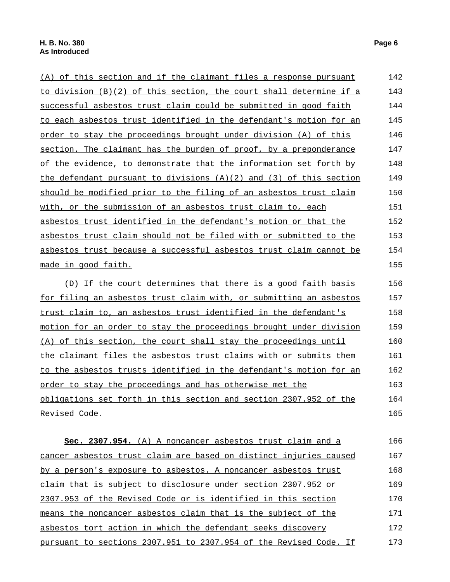| (A) of this section and if the claimant files a response pursuant      | 142 |
|------------------------------------------------------------------------|-----|
| to division (B)(2) of this section, the court shall determine if a     | 143 |
| successful asbestos trust claim could be submitted in good faith       | 144 |
| to each asbestos trust identified in the defendant's motion for an     | 145 |
| order to stay the proceedings brought under division (A) of this       | 146 |
| section. The claimant has the burden of proof, by a preponderance      | 147 |
| of the evidence, to demonstrate that the information set forth by      | 148 |
| the defendant pursuant to divisions $(A)(2)$ and $(3)$ of this section | 149 |
| should be modified prior to the filing of an asbestos trust claim      | 150 |
| with, or the submission of an asbestos trust claim to, each            | 151 |
| asbestos trust identified in the defendant's motion or that the        | 152 |
| asbestos trust claim should not be filed with or submitted to the      | 153 |
| asbestos trust because a successful asbestos trust claim cannot be     | 154 |
| <u>made in good faith.</u>                                             | 155 |
| (D) If the court determines that there is a good faith basis           | 156 |
| for filing an asbestos trust claim with, or submitting an asbestos     | 157 |
| trust claim to, an asbestos trust identified in the defendant's        | 158 |
| motion for an order to stay the proceedings brought under division     | 159 |
| (A) of this section, the court shall stay the proceedings until        | 160 |
| the claimant files the asbestos trust claims with or submits them      | 161 |
| to the asbestos trusts identified in the defendant's motion for an     | 162 |
| order to stay the proceedings and has otherwise met the                | 163 |
| obligations set forth in this section and section 2307.952 of the      | 164 |
| <u>Revised Code.</u>                                                   | 165 |
|                                                                        |     |
| Sec. 2307.954. (A) A noncancer asbestos trust claim and a              | 166 |
| cancer asbestos trust claim are based on distinct injuries caused      | 167 |
| by a person's exposure to asbestos. A noncancer asbestos trust         | 168 |
| claim that is subject to disclosure under section 2307.952 or          | 169 |
| 2307.953 of the Revised Code or is identified in this section          | 170 |

2307.953 of the Revised Code or is identified in this section means the noncancer asbestos claim that is the subject of the asbestos tort action in which the defendant seeks discovery pursuant to sections 2307.951 to 2307.954 of the Revised Code. If 170 171 172 173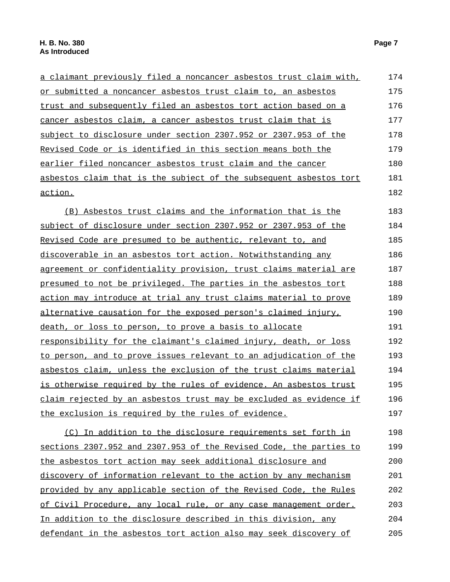a claimant previously filed a noncancer asbestos trust claim with, or submitted a noncancer asbestos trust claim to, an asbestos trust and subsequently filed an asbestos tort action based on a cancer asbestos claim, a cancer asbestos trust claim that is subject to disclosure under section 2307.952 or 2307.953 of the Revised Code or is identified in this section means both the earlier filed noncancer asbestos trust claim and the cancer asbestos claim that is the subject of the subsequent asbestos tort action. 174 175 176 177 178 179 180 181 182 (B) Asbestos trust claims and the information that is the subject of disclosure under section 2307.952 or 2307.953 of the Revised Code are presumed to be authentic, relevant to, and discoverable in an asbestos tort action. Notwithstanding any agreement or confidentiality provision, trust claims material are presumed to not be privileged. The parties in the asbestos tort action may introduce at trial any trust claims material to prove alternative causation for the exposed person's claimed injury, death, or loss to person, to prove a basis to allocate responsibility for the claimant's claimed injury, death, or loss to person, and to prove issues relevant to an adjudication of the asbestos claim, unless the exclusion of the trust claims material is otherwise required by the rules of evidence. An asbestos trust claim rejected by an asbestos trust may be excluded as evidence if the exclusion is required by the rules of evidence. 183 184 185 186 187 188 189 190 191 192 193 194 195 196 197 (C) In addition to the disclosure requirements set forth in sections 2307.952 and 2307.953 of the Revised Code, the parties to the asbestos tort action may seek additional disclosure and discovery of information relevant to the action by any mechanism 198 199 200 201

provided by any applicable section of the Revised Code, the Rules of Civil Procedure, any local rule, or any case management order. In addition to the disclosure described in this division, any defendant in the asbestos tort action also may seek discovery of 202 203 204 205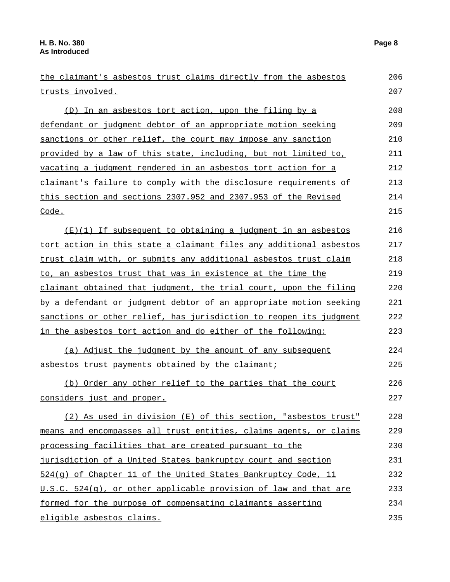| the claimant's asbestos trust claims directly from the asbestos    | 206 |
|--------------------------------------------------------------------|-----|
| trusts involved.                                                   | 207 |
| (D) In an asbestos tort action, upon the filing by a               | 208 |
| defendant or judgment debtor of an appropriate motion seeking      | 209 |
| sanctions or other relief, the court may impose any sanction       | 210 |
| provided by a law of this state, including, but not limited to,    | 211 |
| vacating a judgment rendered in an asbestos tort action for a      | 212 |
| claimant's failure to comply with the disclosure requirements of   | 213 |
| this section and sections 2307.952 and 2307.953 of the Revised     | 214 |
| Code.                                                              | 215 |
| $(E)(1)$ If subsequent to obtaining a judgment in an asbestos      | 216 |
| tort action in this state a claimant files any additional asbestos | 217 |
| trust claim with, or submits any additional asbestos trust claim   | 218 |
| to, an asbestos trust that was in existence at the time the        | 219 |
| claimant obtained that judgment, the trial court, upon the filing  | 220 |
| by a defendant or judgment debtor of an appropriate motion seeking | 221 |
| sanctions or other relief, has jurisdiction to reopen its judgment | 222 |
| <u>in the asbestos tort action and do either of the following:</u> | 223 |
| (a) Adjust the judgment by the amount of any subsequent            | 224 |
| asbestos trust payments obtained by the claimant;                  | 225 |
| (b) Order any other relief to the parties that the court           | 226 |
| considers just and proper.                                         | 227 |
| (2) As used in division (E) of this section, "asbestos trust"      | 228 |
| means and encompasses all trust entities, claims agents, or claims | 229 |
| processing facilities that are created pursuant to the             | 230 |
| jurisdiction of a United States bankruptcy court and section       | 231 |
| 524(q) of Chapter 11 of the United States Bankruptcy Code, 11      | 232 |
| U.S.C. 524(g), or other applicable provision of law and that are   | 233 |
| formed for the purpose of compensating claimants asserting         | 234 |
| eligible asbestos claims.                                          | 235 |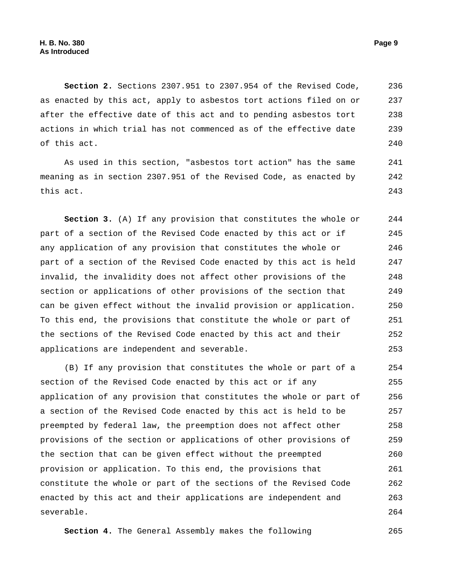**Section 2.** Sections 2307.951 to 2307.954 of the Revised Code, as enacted by this act, apply to asbestos tort actions filed on or after the effective date of this act and to pending asbestos tort actions in which trial has not commenced as of the effective date of this act. 236 237 238 239 240

As used in this section, "asbestos tort action" has the same meaning as in section 2307.951 of the Revised Code, as enacted by this act. 241 242 243

**Section 3.** (A) If any provision that constitutes the whole or part of a section of the Revised Code enacted by this act or if any application of any provision that constitutes the whole or part of a section of the Revised Code enacted by this act is held invalid, the invalidity does not affect other provisions of the section or applications of other provisions of the section that can be given effect without the invalid provision or application. To this end, the provisions that constitute the whole or part of the sections of the Revised Code enacted by this act and their applications are independent and severable. 244 245 246 247 248 249 250 251 252 253

(B) If any provision that constitutes the whole or part of a section of the Revised Code enacted by this act or if any application of any provision that constitutes the whole or part of a section of the Revised Code enacted by this act is held to be preempted by federal law, the preemption does not affect other provisions of the section or applications of other provisions of the section that can be given effect without the preempted provision or application. To this end, the provisions that constitute the whole or part of the sections of the Revised Code enacted by this act and their applications are independent and severable. 254 255 256 257 258 259 260 261 262 263 264

**Section 4.** The General Assembly makes the following 265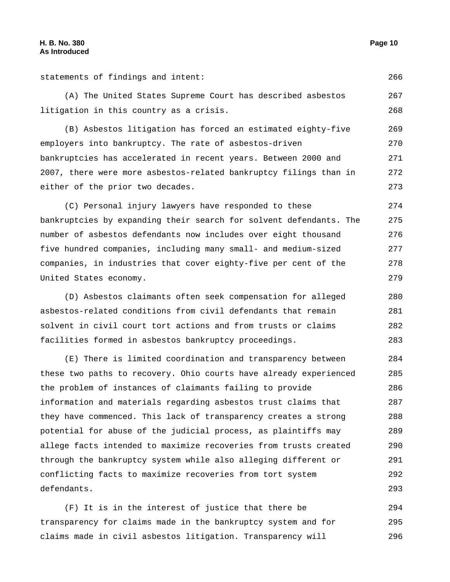statements of findings and intent: 266

(A) The United States Supreme Court has described asbestos litigation in this country as a crisis. 267 268

(B) Asbestos litigation has forced an estimated eighty-five employers into bankruptcy. The rate of asbestos-driven bankruptcies has accelerated in recent years. Between 2000 and 2007, there were more asbestos-related bankruptcy filings than in either of the prior two decades. 269 270 271 272 273

(C) Personal injury lawyers have responded to these bankruptcies by expanding their search for solvent defendants. The number of asbestos defendants now includes over eight thousand five hundred companies, including many small- and medium-sized companies, in industries that cover eighty-five per cent of the United States economy. 274 275 276 277 278 279

(D) Asbestos claimants often seek compensation for alleged asbestos-related conditions from civil defendants that remain solvent in civil court tort actions and from trusts or claims facilities formed in asbestos bankruptcy proceedings. 280 281 282 283

(E) There is limited coordination and transparency between these two paths to recovery. Ohio courts have already experienced the problem of instances of claimants failing to provide information and materials regarding asbestos trust claims that they have commenced. This lack of transparency creates a strong potential for abuse of the judicial process, as plaintiffs may allege facts intended to maximize recoveries from trusts created through the bankruptcy system while also alleging different or conflicting facts to maximize recoveries from tort system defendants. 284 285 286 287 288 289 290 291 292 293

(F) It is in the interest of justice that there be transparency for claims made in the bankruptcy system and for claims made in civil asbestos litigation. Transparency will 294 295 296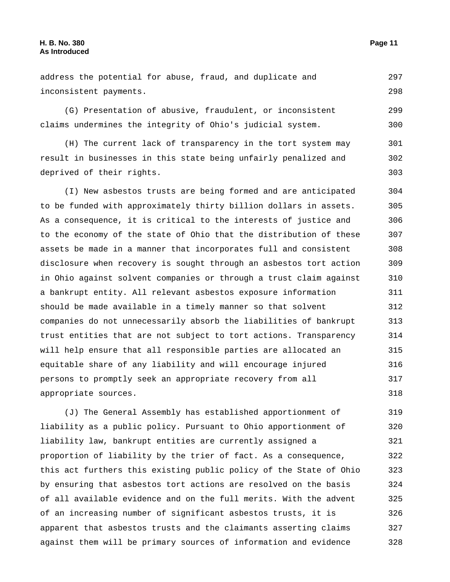address the potential for abuse, fraud, and duplicate and inconsistent payments. 297 298

(G) Presentation of abusive, fraudulent, or inconsistent claims undermines the integrity of Ohio's judicial system. 299 300

(H) The current lack of transparency in the tort system may result in businesses in this state being unfairly penalized and deprived of their rights. 301 302 303

(I) New asbestos trusts are being formed and are anticipated to be funded with approximately thirty billion dollars in assets. As a consequence, it is critical to the interests of justice and to the economy of the state of Ohio that the distribution of these assets be made in a manner that incorporates full and consistent disclosure when recovery is sought through an asbestos tort action in Ohio against solvent companies or through a trust claim against a bankrupt entity. All relevant asbestos exposure information should be made available in a timely manner so that solvent companies do not unnecessarily absorb the liabilities of bankrupt trust entities that are not subject to tort actions. Transparency will help ensure that all responsible parties are allocated an equitable share of any liability and will encourage injured persons to promptly seek an appropriate recovery from all appropriate sources. 304 305 306 307 308 309 310 311 312 313 314 315 316 317 318

(J) The General Assembly has established apportionment of liability as a public policy. Pursuant to Ohio apportionment of liability law, bankrupt entities are currently assigned a proportion of liability by the trier of fact. As a consequence, this act furthers this existing public policy of the State of Ohio by ensuring that asbestos tort actions are resolved on the basis of all available evidence and on the full merits. With the advent of an increasing number of significant asbestos trusts, it is apparent that asbestos trusts and the claimants asserting claims against them will be primary sources of information and evidence 319 320 321 322 323 324 325 326 327 328